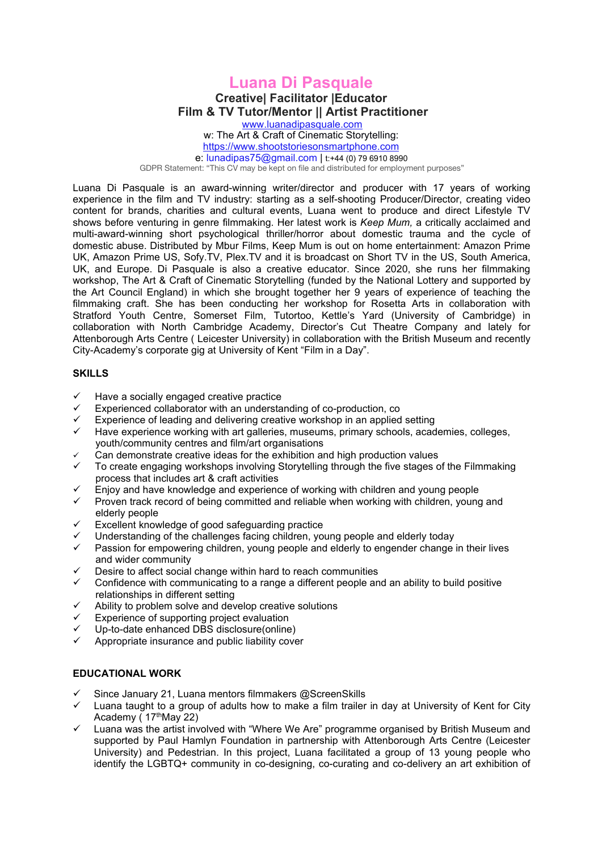## **Luana Di Pasquale Creative| Facilitator |Educator Film & TV Tutor/Mentor** *||* **Artist Practitioner**

[www.luanadipasquale.com](http://www.luanadipasquale.com) w: The Art & Craft of Cinematic [Storytelling:](https://www.shootstoriesonsmartphone.com) <https://www.shootstoriesonsmartphone.com> e: [lunadipas75@gmail.com](mailto:shootstoriesonsmartphone@qmail.com) | t:+44 (0) 79 6910 8990

GDPR Statement: "This CV may be kept on file and distributed for employment purposes"

Luana Di Pasquale is an award-winning writer/director and producer with 17 years of working experience in the film and TV industry: starting as a self-shooting Producer/Director, creating video content for brands, charities and cultural events, Luana went to produce and direct Lifestyle TV shows before venturing in genre filmmaking. Her latest work is *Keep Mum,* a critically acclaimed and multi-award-winning short psychological thriller/horror about domestic trauma and the cycle of domestic abuse. Distributed by Mbur Films, Keep Mum is outon home entertainment: Amazon Prime UK, Amazon Prime US, Sofy.TV, Plex.TV and it is broadcast on Short TV in the US, South America, UK, and Europe. Di Pasquale is also a creative educator. Since 2020, she runs her filmmaking workshop, The Art & Craft of Cinematic Storytelling (funded by the National Lottery and supported by the Art Council England) in which she brought together her 9 years of experience of teaching the filmmaking craft. She has been conducting her workshop for Rosetta Arts in collaboration with Stratford Youth Centre, Somerset Film, Tutortoo, Kettle's Yard (University of Cambridge) in collaboration with North Cambridge Academy, Director's Cut Theatre Company and lately for Attenborough Arts Centre ( Leicester University) in collaboration with the British Museum and recently City-Academy's corporate gig at University of Kent "Film in a Day".

## **SKILLS**

- $\checkmark$  Have a socially engaged creative practice
- Experienced collaborator with an understanding of co-production, co<br>
Experience of leading and delivering creative workshop in an applied
- Experience of leading and delivering creative workshop in an applied setting  $\checkmark$  Have experience working with an applicies museums, primary schools, academy
- Have experience working with art galleries, museums, primary schools, academies, colleges, youth/community centres and film/art organisations
- Can demonstrate creative ideas for the exhibition and high production values
- To create engaging workshops involving Storytelling through the five stages of the Filmmaking process that includes art & craft activities
- Enjoy and have knowledge and experience of working with children and young people
- Proven track record of being committed and reliable when working with children, young and elderly people
- Excellent knowledge of good safeguarding practice
- Understanding of the challenges facing children, young people and elderly today
- Passion for empowering children, young people and elderly to engender change in their lives and wider community
- Desire to affect social change within hard to reach communities
- Confidence with communicating to a range a different people and an ability to build positive relationships in different setting
- $\checkmark$  Ability to problem solve and develop creative solutions
- Experience of supporting project evaluation
- Up-to-date enhanced DBS disclosure(online)
- Appropriate insurance and public liability cover

## **EDUCATIONAL WORK**

- Since January 21, Luana mentors filmmakers @ScreenSkills
- $\checkmark$  Luana taught to a group of adults how to make a film trailer in day at University of Kent for City Academy ( 17 thMay 22)
- $\checkmark$  Luana was the artist involved with "Where We Are" programme organised by British Museum and supported by Paul Hamlyn Foundation in partnership with Attenborough Arts Centre (Leicester University) and Pedestrian. In this project, Luana facilitated a group of 13 young people who identify the LGBTQ+ community in co-designing, co-curating and co-delivery an art exhibition of